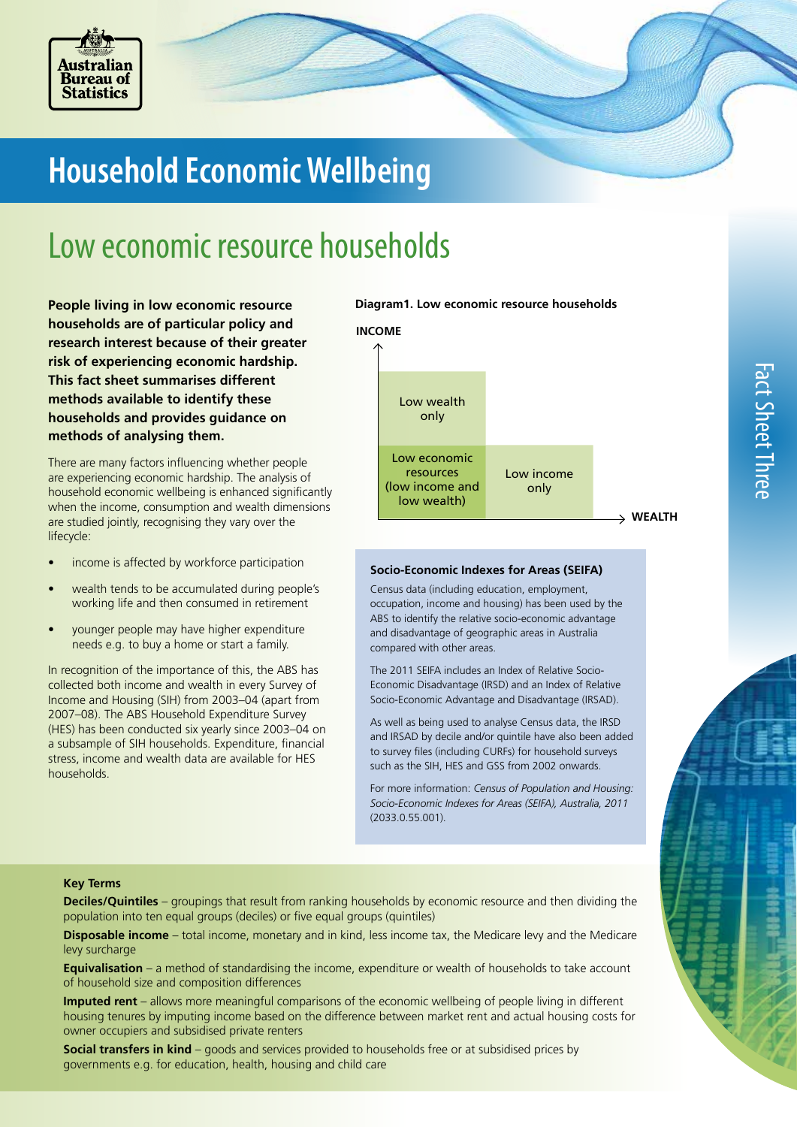

# **Household Economic Wellbeing**

## Low economic resource households

**People living in low economic resource households are of particular policy and research interest because of their greater risk of experiencing economic hardship. This fact sheet summarises different methods available to identify these households and provides guidance on methods of analysing them.** 

There are many factors influencing whether people are experiencing economic hardship. The analysis of household economic wellbeing is enhanced significantly when the income, consumption and wealth dimensions are studied jointly, recognising they vary over the lifecycle:

- income is affected by workforce participation
- wealth tends to be accumulated during people's working life and then consumed in retirement
- younger people may have higher expenditure needs e.g. to buy a home or start a family.

In recognition of the importance of this, the ABS has collected both income and wealth in every Survey of Income and Housing (SIH) from 2003–04 (apart from 2007–08). The ABS Household Expenditure Survey (HES) has been conducted six yearly since 2003–04 on a subsample of SIH households. Expenditure, financial stress, income and wealth data are available for HES households.





#### **Socio-Economic Indexes for Areas (SEIFA)**

Census data (including education, employment, occupation, income and housing) has been used by the ABS to identify the relative socio-economic advantage and disadvantage of geographic areas in Australia compared with other areas.

The 2011 SEIFA includes an Index of Relative Socio-Economic Disadvantage (IRSD) and an Index of Relative Socio-Economic Advantage and Disadvantage (IRSAD).

As well as being used to analyse Census data, the IRSD and IRSAD by decile and/or quintile have also been added to survey files (including CURFs) for household surveys such as the SIH, HES and GSS from 2002 onwards.

For more information: *Census of Population and Housing: Socio-Economic Indexes for Areas (SEIFA), Australia, 2011* (2033.0.55.001).

#### **Key Terms**

**Deciles/Quintiles** – groupings that result from ranking households by economic resource and then dividing the population into ten equal groups (deciles) or five equal groups (quintiles)

**Disposable income** – total income, monetary and in kind, less income tax, the Medicare levy and the Medicare levy surcharge

**Equivalisation** – a method of standardising the income, expenditure or wealth of households to take account of household size and composition differences

**Imputed rent** – allows more meaningful comparisons of the economic wellbeing of people living in different housing tenures by imputing income based on the difference between market rent and actual housing costs for owner occupiers and subsidised private renters

**Social transfers in kind** – goods and services provided to households free or at subsidised prices by governments e.g. for education, health, housing and child care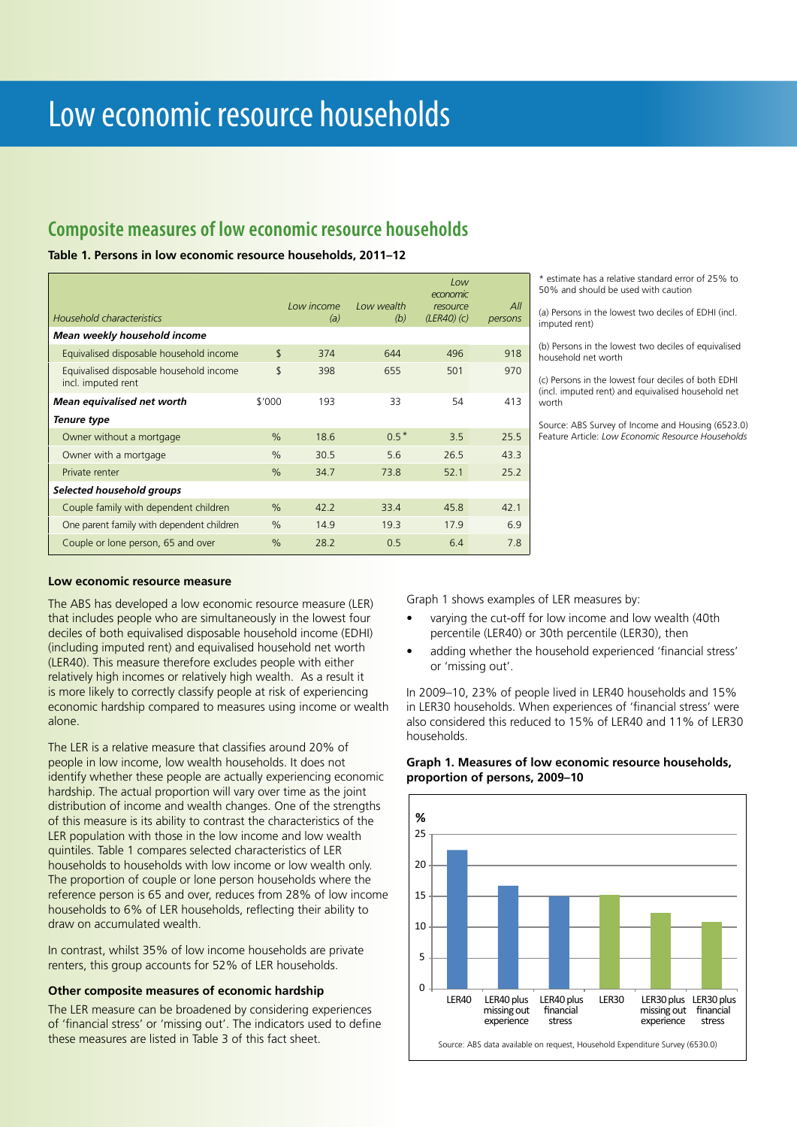### **Composite measures of low economic resource households**

#### **Table 1. Persons in low economic resource households, 2011–12**

| Household characteristics                                     |               | Low income<br>(a) | Low wealth<br>(b) | Low<br>economic<br>resource<br>(LER40) (c) | All<br>persons |
|---------------------------------------------------------------|---------------|-------------------|-------------------|--------------------------------------------|----------------|
| Mean weekly household income                                  |               |                   |                   |                                            |                |
| Equivalised disposable household income                       | \$            | 374               | 644               | 496                                        | 918            |
| Equivalised disposable household income<br>incl. imputed rent | \$            | 398               | 655               | 501                                        | 970            |
| Mean equivalised net worth                                    | \$'000        | 193               | 33                | 54                                         | 413            |
| Tenure type                                                   |               |                   |                   |                                            |                |
| Owner without a mortgage                                      | $\frac{0}{0}$ | 18.6              | $0.5*$            | 3.5                                        | 25.5           |
| Owner with a mortgage                                         | $\frac{0}{0}$ | 30.5              | 5.6               | 26.5                                       | 43.3           |
| Private renter                                                | $\frac{0}{0}$ | 34.7              | 73.8              | 52.1                                       | 25.2           |
| Selected household groups                                     |               |                   |                   |                                            |                |
| Couple family with dependent children                         | $\%$          | 42.2              | 33.4              | 45.8                                       | 42.1           |
| One parent family with dependent children                     | $\frac{0}{0}$ | 14.9              | 19.3              | 17.9                                       | 6.9            |
| Couple or lone person, 65 and over                            | $\frac{0}{0}$ | 28.2              | 0.5               | 6.4                                        | 7.8            |

estimate has a relative standard error of 25% to 50% and should be used with caution

(a) Persons in the lowest two deciles of EDHI (incl. imputed rent)

(b) Persons in the lowest two deciles of equivalised household net worth

(c) Persons in the lowest four deciles of both EDHI (incl. imputed rent) and equivalised household net worth

Source: ABS Survey of Income and Housing (6523.0) Feature Article: *Low Economic Resource Households*

#### **Low economic resource measure**

The ABS has developed a low economic resource measure (LER) that includes people who are simultaneously in the lowest four deciles of both equivalised disposable household income (EDHI) (including imputed rent) and equivalised household net worth (LER40). This measure therefore excludes people with either relatively high incomes or relatively high wealth. As a result it is more likely to correctly classify people at risk of experiencing economic hardship compared to measures using income or wealth alone.

The LER is a relative measure that classifies around 20% of people in low income, low wealth households. It does not identify whether these people are actually experiencing economic hardship. The actual proportion will vary over time as the joint distribution of income and wealth changes. One of the strengths of this measure is its ability to contrast the characteristics of the LER population with those in the low income and low wealth quintiles. Table 1 compares selected characteristics of LER households to households with low income or low wealth only. The proportion of couple or lone person households where the reference person is 65 and over, reduces from 28% of low income households to 6% of LER households, reflecting their ability to draw on accumulated wealth.

In contrast, whilst 35% of low income households are private renters, this group accounts for 52% of LER households.

#### **Other composite measures of economic hardship**

The LER measure can be broadened by considering experiences of 'financial stress' or 'missing out'. The indicators used to define these measures are listed in Table 3 of this fact sheet.

Graph 1 shows examples of LER measures by:

- varying the cut-off for low income and low wealth (40th percentile (LER40) or 30th percentile (LER30), then
- adding whether the household experienced 'financial stress' or 'missing out'.

In 2009–10, 23% of people lived in LER40 households and 15% in LER30 households. When experiences of 'financial stress' were also considered this reduced to 15% of LER40 and 11% of LER30 households.



#### **Graph 1. Measures of low economic resource households, proportion of persons, 2009–10**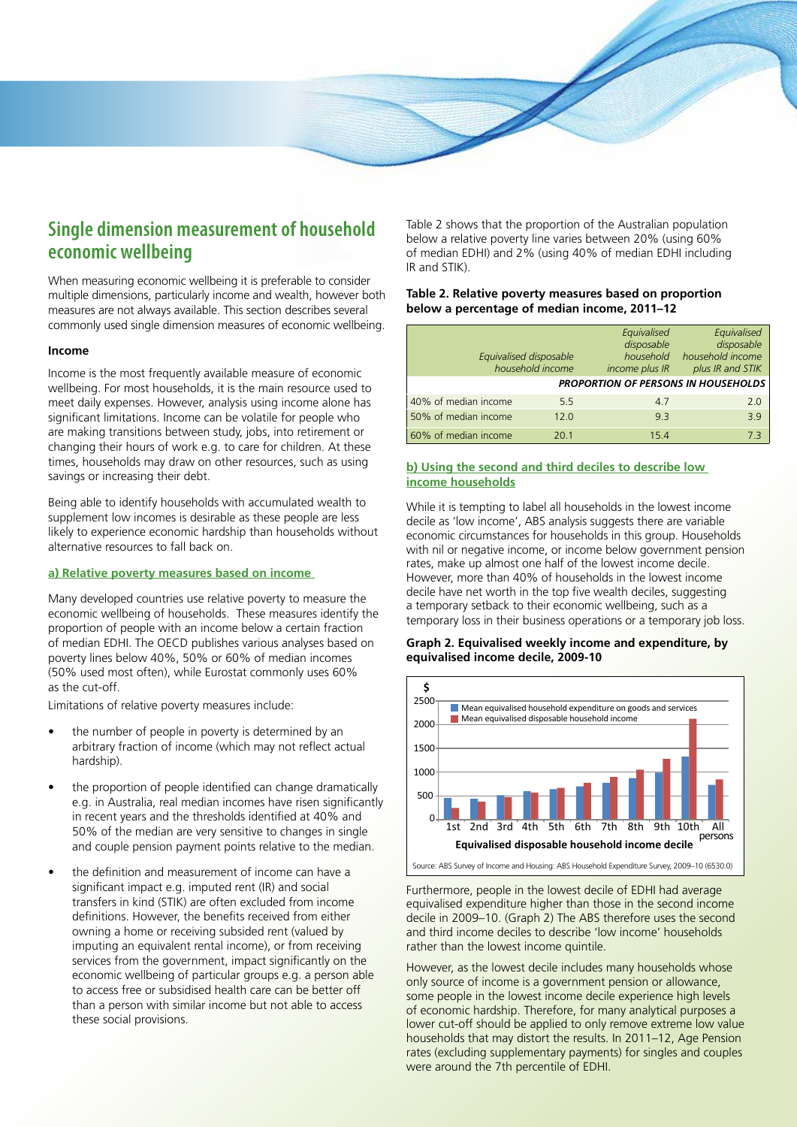

## **Single dimension measurement of household economic wellbeing**

When measuring economic wellbeing it is preferable to consider multiple dimensions, particularly income and wealth, however both measures are not always available. This section describes several commonly used single dimension measures of economic wellbeing.

#### **Income**

Income is the most frequently available measure of economic wellbeing. For most households, it is the main resource used to meet daily expenses. However, analysis using income alone has significant limitations. Income can be volatile for people who are making transitions between study, jobs, into retirement or changing their hours of work e.g. to care for children. At these times, households may draw on other resources, such as using savings or increasing their debt.

Being able to identify households with accumulated wealth to supplement low incomes is desirable as these people are less likely to experience economic hardship than households without alternative resources to fall back on.

#### **a) Relative poverty measures based on income**

Many developed countries use relative poverty to measure the economic wellbeing of households. These measures identify the proportion of people with an income below a certain fraction of median EDHI. The OECD publishes various analyses based on poverty lines below 40%, 50% or 60% of median incomes (50% used most often), while Eurostat commonly uses 60% as the cut-off.

Limitations of relative poverty measures include:

- the number of people in poverty is determined by an arbitrary fraction of income (which may not reflect actual hardship).
- the proportion of people identified can change dramatically e.g. in Australia, real median incomes have risen significantly in recent years and the thresholds identified at 40% and 50% of the median are very sensitive to changes in single and couple pension payment points relative to the median.
- the definition and measurement of income can have a significant impact e.g. imputed rent (IR) and social transfers in kind (STIK) are often excluded from income definitions. However, the benefits received from either owning a home or receiving subsided rent (valued by imputing an equivalent rental income), or from receiving services from the government, impact significantly on the economic wellbeing of particular groups e.g. a person able to access free or subsidised health care can be better off than a person with similar income but not able to access these social provisions.

Table 2 shows that the proportion of the Australian population below a relative poverty line varies between 20% (using 60% of median EDHI) and 2% (using 40% of median EDHI including IR and STIK).

#### **Table 2. Relative poverty measures based on proportion below a percentage of median income, 2011–12**

| Equivalised disposable | household income | Equivalised<br>disposable<br>household<br>income plus IR | Equivalised<br>disposable<br>household income<br>plus IR and STIK |
|------------------------|------------------|----------------------------------------------------------|-------------------------------------------------------------------|
|                        |                  |                                                          | <b>PROPORTION OF PERSONS IN HOUSEHOLDS</b>                        |
| 40% of median income   | 5.5              | 4.7                                                      | 2.0                                                               |
| 50% of median income   | 12.0             | 9.3                                                      | 3.9                                                               |
| 60% of median income   | 20 1             | 15.4                                                     | ר 3                                                               |

#### **b) Using the second and third deciles to describe low income households**

While it is tempting to label all households in the lowest income decile as 'low income', ABS analysis suggests there are variable economic circumstances for households in this group. Households with nil or negative income, or income below government pension rates, make up almost one half of the lowest income decile. However, more than 40% of households in the lowest income decile have net worth in the top five wealth deciles, suggesting a temporary setback to their economic wellbeing, such as a temporary loss in their business operations or a temporary job loss.

#### **Graph 2. Equivalised weekly income and expenditure, by equivalised income decile, 2009-10**



Furthermore, people in the lowest decile of EDHI had average equivalised expenditure higher than those in the second income decile in 2009–10. (Graph 2) The ABS therefore uses the second and third income deciles to describe 'low income' households rather than the lowest income quintile.

However, as the lowest decile includes many households whose only source of income is a government pension or allowance, some people in the lowest income decile experience high levels of economic hardship. Therefore, for many analytical purposes a lower cut-off should be applied to only remove extreme low value households that may distort the results. In 2011–12, Age Pension rates (excluding supplementary payments) for singles and couples were around the 7th percentile of EDHI.